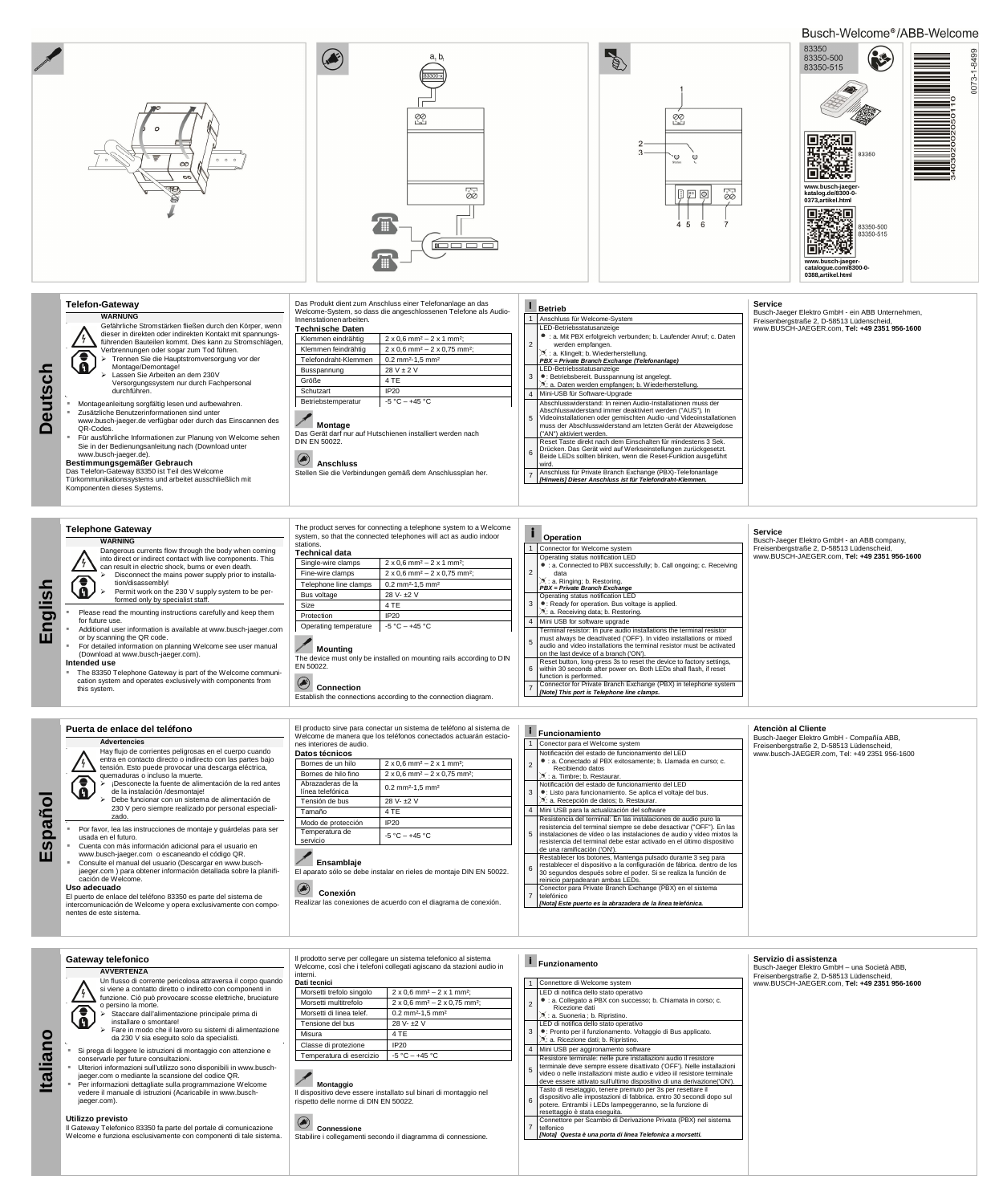|                                                                | <b>Telephone Gateway</b><br><b>WARNING</b>                                                                                                                                                                                                                                                                                                                                                                                                               | The product serves for connecting a telephone system to a Welcome<br>system, so that the connected telephones will act as audio indoor<br>stations.<br><b>Technical data</b>                         |                                                                    | <b>Operation</b> |                                                                                                                                                                                                                                                                                                                                                                                                                                                                                  | Service<br>Busch-Jaeger Elektro GmbH - an ABB company,                                    |
|----------------------------------------------------------------|----------------------------------------------------------------------------------------------------------------------------------------------------------------------------------------------------------------------------------------------------------------------------------------------------------------------------------------------------------------------------------------------------------------------------------------------------------|------------------------------------------------------------------------------------------------------------------------------------------------------------------------------------------------------|--------------------------------------------------------------------|------------------|----------------------------------------------------------------------------------------------------------------------------------------------------------------------------------------------------------------------------------------------------------------------------------------------------------------------------------------------------------------------------------------------------------------------------------------------------------------------------------|-------------------------------------------------------------------------------------------|
| $\overline{\omega}$<br>$\overline{\mathbf{D}}$<br>$\mathbf{z}$ | Dangerous currents flow through the body when coming<br>into direct or indirect contact with live components. This<br>can result in electric shock, burns or even death.<br>Disconnect the mains power supply prior to installa-<br>tion/disassembly!<br>$\mathbf{a}$<br>Permit work on the 230 V supply system to be per-<br>formed only by specialist staff.                                                                                           |                                                                                                                                                                                                      |                                                                    |                  | Connector for Welcome system<br>Operating status notification LED                                                                                                                                                                                                                                                                                                                                                                                                                | Freisenbergstraße 2, D-58513 Lüdenscheid,<br>www.BUSCH-JAEGER.com. Tel: +49 2351 956-1600 |
|                                                                |                                                                                                                                                                                                                                                                                                                                                                                                                                                          | Single-wire clamps                                                                                                                                                                                   | $2 \times 0.6$ mm <sup>2</sup> – $2 \times 1$ mm <sup>2</sup> ;    |                  | • : a. Connected to PBX successfully; b. Call ongoing; c. Receiving                                                                                                                                                                                                                                                                                                                                                                                                              |                                                                                           |
|                                                                |                                                                                                                                                                                                                                                                                                                                                                                                                                                          | Fine-wire clamps                                                                                                                                                                                     | $2 \times 0.6$ mm <sup>2</sup> – $2 \times 0.75$ mm <sup>2</sup> ; |                  |                                                                                                                                                                                                                                                                                                                                                                                                                                                                                  |                                                                                           |
|                                                                |                                                                                                                                                                                                                                                                                                                                                                                                                                                          | Telephone line clamps                                                                                                                                                                                | $0.2$ mm <sup>2</sup> -1.5 mm <sup>2</sup>                         |                  | : a. Ringing; b. Restoring.<br>PBX = Private Branch Exchange                                                                                                                                                                                                                                                                                                                                                                                                                     |                                                                                           |
|                                                                |                                                                                                                                                                                                                                                                                                                                                                                                                                                          | Bus voltage                                                                                                                                                                                          | 28 V- ±2 V                                                         |                  | Operating status notification LED                                                                                                                                                                                                                                                                                                                                                                                                                                                |                                                                                           |
|                                                                | Please read the mounting instructions carefully and keep them<br>for future use.<br>Additional user information is available at www.busch-jaeger.com<br>or by scanning the QR code.<br>For detailed information on planning Welcome see user manual<br>(Download at www.busch-jaeger.com).<br>Intended use<br>The 83350 Telephone Gateway is part of the Welcome communi-<br>cation system and operates exclusively with components from<br>this system. | Size                                                                                                                                                                                                 | 4 TE                                                               |                  | •: Ready for operation. Bus voltage is applied.                                                                                                                                                                                                                                                                                                                                                                                                                                  |                                                                                           |
|                                                                |                                                                                                                                                                                                                                                                                                                                                                                                                                                          | Protection                                                                                                                                                                                           | <b>IP20</b>                                                        |                  | S: a. Receiving data; b. Restoring.<br>Mini USB for software upgrade                                                                                                                                                                                                                                                                                                                                                                                                             |                                                                                           |
|                                                                |                                                                                                                                                                                                                                                                                                                                                                                                                                                          | Operating temperature                                                                                                                                                                                | $-5 °C - +45 °C$                                                   |                  | Terminal resistor: In pure audio installations the terminal resistor                                                                                                                                                                                                                                                                                                                                                                                                             |                                                                                           |
|                                                                |                                                                                                                                                                                                                                                                                                                                                                                                                                                          | ∣ Mounting<br>The device must only be installed on mounting rails according to DIN<br>EN 50022.<br>$\bigcirc$<br><b>Connection</b><br>Establish the connections according to the connection diagram. |                                                                    |                  | must always be deactivated ('OFF'). In video installations or mixed<br>audio and video installations the terminal resistor must be activated<br>on the last device of a branch ('ON').<br>Reset button, long-press 3s to reset the device to factory settings,<br>within 30 seconds after power on. Both LEDs shall flash, if reset<br>I function is performed.<br>Connector for Private Branch Exchange (PBX) in telephone system<br>[Note] This port is Telephone line clamps. |                                                                                           |

| Puerta de enlace del teléfono                                                                                                                                                                                                             | El producto sirve para conectar un sistema de teléfono al sistema de<br>Welcome de manera que los teléfonos conectados actuarán estacio-<br>nes interiores de audio.<br>Datos técnicos |                                                                    | Funcionamiento                                                                                                                                                                                                                                                                                                                              | Atenciòn al Cliente<br>Busch-Jaeger Elektro GmbH - Compañía ABB,<br>Freisenbergstraße 2, D-58513 Lüdenscheid,<br>www.busch-JAEGER.com. Tel: +49 2351 956-1600 |
|-------------------------------------------------------------------------------------------------------------------------------------------------------------------------------------------------------------------------------------------|----------------------------------------------------------------------------------------------------------------------------------------------------------------------------------------|--------------------------------------------------------------------|---------------------------------------------------------------------------------------------------------------------------------------------------------------------------------------------------------------------------------------------------------------------------------------------------------------------------------------------|---------------------------------------------------------------------------------------------------------------------------------------------------------------|
| <b>Advertencies</b><br>Hay flujo de corrientes peligrosas en el cuerpo cuando                                                                                                                                                             |                                                                                                                                                                                        |                                                                    | Conector para el Welcome system<br>Notificación del estado de funcionamiento del LED                                                                                                                                                                                                                                                        |                                                                                                                                                               |
| entra en contacto directo o indirecto con las partes bajo<br>tensión. Esto puede provocar una descarga eléctrica,                                                                                                                         | Bornes de un hilo                                                                                                                                                                      | $2 \times 0.6$ mm <sup>2</sup> – $2 \times 1$ mm <sup>2</sup> :    | • : a. Conectado al PBX exitosamente: b. Llamada en curso: c.<br>Recibiendo datos                                                                                                                                                                                                                                                           |                                                                                                                                                               |
| quemaduras o incluso la muerte.                                                                                                                                                                                                           | Bornes de hilo fino                                                                                                                                                                    | $2 \times 0.6$ mm <sup>2</sup> – $2 \times 0.75$ mm <sup>2</sup> : | A: a. Timbre: b. Restaurar.                                                                                                                                                                                                                                                                                                                 |                                                                                                                                                               |
| ¡Desconecte la fuente de alimentación de la red antes<br>de la instalación /desmontaie!                                                                                                                                                   | Abrazaderas de la<br>línea telefónica                                                                                                                                                  | $0.2$ mm <sup>2</sup> -1.5 mm <sup>2</sup>                         | Notificación del estado de funcionamiento del LED<br>• Listo para funcionamiento. Se aplica el voltaje del bus.                                                                                                                                                                                                                             |                                                                                                                                                               |
| Debe funcionar con un sistema de alimentación de                                                                                                                                                                                          | Tensión de bus                                                                                                                                                                         | 28 V- ±2 V                                                         | . a. Recepción de datos: b. Restaurar.                                                                                                                                                                                                                                                                                                      |                                                                                                                                                               |
| 230 V pero siempre realizado por personal especiali-                                                                                                                                                                                      | Tamaño                                                                                                                                                                                 | 4 TE                                                               | 4 Mini USB para la actualización del software<br>Resistencia del terminal: En las instalaciones de audio puro la<br>resistencia del terminal siempre se debe desactivar ("OFF"). En las<br>5 instalaciones de vídeo o las instalaciones de audio y vídeo mixtos la<br>resistencia del terminal debe estar activado en el último dispositivo |                                                                                                                                                               |
| zado.                                                                                                                                                                                                                                     | Modo de protección                                                                                                                                                                     | IP20                                                               |                                                                                                                                                                                                                                                                                                                                             |                                                                                                                                                               |
| Por favor, lea las instrucciones de montaje y quárdelas para ser<br>usada en el futuro.                                                                                                                                                   | Temperatura de<br>servicio                                                                                                                                                             | $-5 °C - +45 °C$                                                   |                                                                                                                                                                                                                                                                                                                                             |                                                                                                                                                               |
| Cuenta con más información adicional para el usuario en<br>www.busch-jaeger.com o escaneando el código QR.<br>Consulte el manual del usuario (Descargar en www.busch-<br>jaeger.com) para obtener información detallada sobre la planifi- | Ensamblaie<br>El aparato sólo se debe instalar en rieles de montaje DIN EN 50022.<br>Conexión<br>Realizar las conexiones de acuerdo con el diagrama de conexión.                       |                                                                    | de una ramificación ('ON').<br>Restablecer los botones, Mantenga pulsado durante 3 seg para<br>restablecer el dispositivo a la configuración de fábrica. dentro de los                                                                                                                                                                      |                                                                                                                                                               |
| cación de Welcome.                                                                                                                                                                                                                        |                                                                                                                                                                                        |                                                                    | 30 segundos después sobre el poder. Si se realiza la función de<br>reinicio parpadearan ambas LEDs.                                                                                                                                                                                                                                         |                                                                                                                                                               |
| Uso adecuado<br>El puerto de enlace del teléfono 83350 es parte del sistema de                                                                                                                                                            |                                                                                                                                                                                        |                                                                    | Conector para Private Branch Exchange (PBX) en el sistema<br>telefónico                                                                                                                                                                                                                                                                     |                                                                                                                                                               |
| intercomunicación de Welcome y opera exclusivamente con compo-                                                                                                                                                                            |                                                                                                                                                                                        |                                                                    | INotal Este puerto es la abrazadera de la línea telefónica.                                                                                                                                                                                                                                                                                 |                                                                                                                                                               |

**Español** Busch-Welcome®/ABB-Welcome



**o**

| Gateway telefonico<br><b>AVVERTENZA</b><br>Un flusso di corrente pericolosa attraversa il corpo quando<br>si viene a contatto diretto o indiretto con componenti in                                                                                                                                                                                                             | Il prodotto serve per collegare un sistema telefonico al sistema<br>Welcome, così che i telefoni collegati agiscano da stazioni audio in<br>interni.<br>Dati tecnici                                                                                                                                       | $\blacksquare$ Funzionamento<br>1 Connettore di Welcome system                                                                                                                                                                                                                                                                                                                                                                                                                                                                                                             | Servizio di assistenza<br>Busch-Jaeger Elektro GmbH - una Società ABB,<br>Freisenbergstraße 2, D-58513 Lüdenscheid,<br>www.BUSCH-JAEGER.com, Tel: +49 2351 956-1600 |
|---------------------------------------------------------------------------------------------------------------------------------------------------------------------------------------------------------------------------------------------------------------------------------------------------------------------------------------------------------------------------------|------------------------------------------------------------------------------------------------------------------------------------------------------------------------------------------------------------------------------------------------------------------------------------------------------------|----------------------------------------------------------------------------------------------------------------------------------------------------------------------------------------------------------------------------------------------------------------------------------------------------------------------------------------------------------------------------------------------------------------------------------------------------------------------------------------------------------------------------------------------------------------------------|---------------------------------------------------------------------------------------------------------------------------------------------------------------------|
| funzione. Ciò può provocare scosse elettriche, bruciature<br>o persino la morte.<br>Staccare dall'alimentazione principale prima di<br>installare o smontare!<br>Fare in modo che il lavoro su sistemi di alimentazione<br>da 230 V sia eseguito solo da specialisti.                                                                                                           | $2 \times 0.6$ mm <sup>2</sup> – 2 x 1 mm <sup>2</sup> ;<br>Morsetti trefolo singolo<br>$2 \times 0.6$ mm <sup>2</sup> – 2 x 0.75 mm <sup>2</sup> ;<br>Morsetti multitrefolo<br>Morsetti di linea telef.<br>$0.2$ mm <sup>2</sup> -1,5 mm <sup>2</sup><br>28 V- ±2 V<br>Tensione del bus<br>4 TE<br>Misura | LED di notifica dello stato operativo<br>• : a. Collegato a PBX con successo; b. Chiamata in corso; c.<br>Ricezione dati<br>: a. Suoneria ; b. Ripristino.<br>LED di notifica dello stato operativo<br>•: Pronto per il funzionamento. Voltaggio di Bus applicato.<br>X: a. Ricezione dati; b. Ripristino.                                                                                                                                                                                                                                                                 |                                                                                                                                                                     |
| Si prega di leggere le istruzioni di montaggio con attenzione e<br>conservarle per future consultazioni.<br>Ulteriori informazioni sull'utilizzo sono disponibili in www.busch-<br>jaeger.com o mediante la scansione del codice QR.<br>Per informazioni dettagliate sulla programmazione Welcome<br>vedere il manuale di istruzioni (Acaricabile in www.busch-<br>jaeger.com). | <b>IP20</b><br>Classe di protezione<br>$-5 °C - +45 °C$<br>Temperatura di esercizio<br>Montaggio<br>Il dispositivo deve essere installato sul binari di montaggio nel<br>rispetto delle norme di DIN EN 50022.                                                                                             | Mini USB per aggironamento software<br>Resistore terminale: nelle pure installazioni audio il resistore<br>terminale deve sempre essere disattivato ('OFF'). Nelle installazioni<br>video o nelle installazioni miste audio e video iil resistore terminale<br>deve essere attivato sull'ultimo dispositivo di una derivazione ('ON').<br>Tasto di resetaggio, tenere premuto per 3s per resettare il<br>dispositivo alle impostazioni di fabbrica. entro 30 secondi dopo sul<br>potere. Entrambi i LEDs lampeggeranno, se la funzione di<br>resettaggio è stata eseguita. |                                                                                                                                                                     |
| Utilizzo previsto<br>Il Gateway Telefonico 83350 fa parte del portale di comunicazione<br>Welcome e funziona esclusivamente con componenti di tale sistema.                                                                                                                                                                                                                     | Connessione<br>Stabilire i collegamenti secondo il diagramma di connessione.                                                                                                                                                                                                                               | Connettore per Scambio di Derivazione Privata (PBX) nel sistema<br>7 telfonico<br>[Nota] Questa è una porta di linea Telefonica a morsetti.                                                                                                                                                                                                                                                                                                                                                                                                                                |                                                                                                                                                                     |